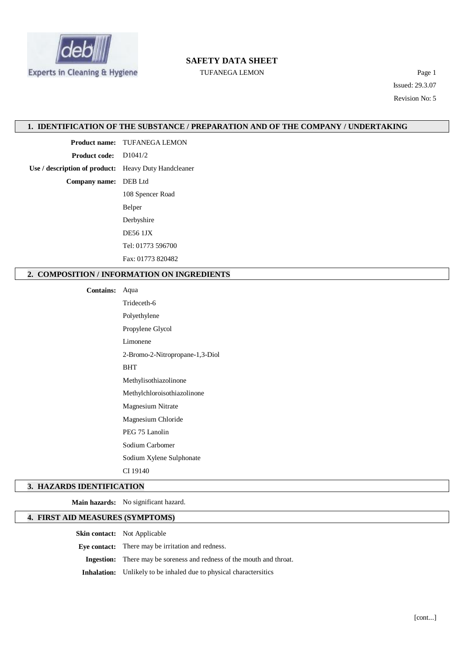

# **SAFETY DATA SHEET**

TUFANEGA LEMON Page 1

Issued: 29.3.07 Revision No: 5

#### **1. IDENTIFICATION OF THE SUBSTANCE / PREPARATION AND OF THE COMPANY / UNDERTAKING**

**Product name:** TUFANEGA LEMON

**Product code:** D1041/2

**Use / description of product:** Heavy Duty Handcleaner

**Company name:** DEB Ltd

108 Spencer Road Belper Derbyshire DE56 1JX Tel: 01773 596700 Fax: 01773 820482

## **2. COMPOSITION / INFORMATION ON INGREDIENTS**

**Contains:** Aqua

Trideceth-6 Polyethylene Propylene Glycol Limonene 2-Bromo-2-Nitropropane-1,3-Diol BHT Methylisothiazolinone Methylchloroisothiazolinone Magnesium Nitrate Magnesium Chloride PEG 75 Lanolin Sodium Carbomer Sodium Xylene Sulphonate CI 19140

#### **3. HAZARDS IDENTIFICATION**

**Main hazards:** No significant hazard.

# **4. FIRST AID MEASURES (SYMPTOMS)**

**Skin contact:** Not Applicable

**Eye contact:** There may be irritation and redness.

**Ingestion:** There may be soreness and redness of the mouth and throat.

**Inhalation:** Unlikely to be inhaled due to physical charactersitics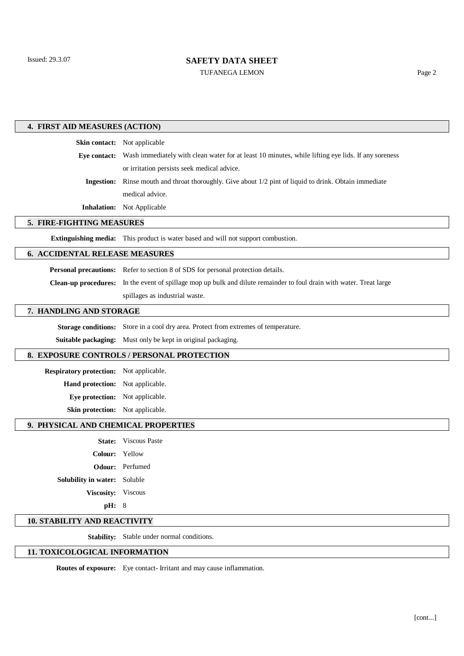# **SAFETY DATA SHEET**

TUFANEGA LEMON Page 2

| 4. FIRST AID MEASURES (ACTION)                 |                                                                                                                      |  |
|------------------------------------------------|----------------------------------------------------------------------------------------------------------------------|--|
|                                                | Skin contact: Not applicable                                                                                         |  |
|                                                | Eye contact: Wash immediately with clean water for at least 10 minutes, while lifting eye lids. If any soreness      |  |
|                                                | or irritation persists seek medical advice.                                                                          |  |
| <b>Ingestion:</b>                              | Rinse mouth and throat thoroughly. Give about 1/2 pint of liquid to drink. Obtain immediate                          |  |
|                                                | medical advice.                                                                                                      |  |
|                                                | <b>Inhalation:</b> Not Applicable                                                                                    |  |
| 5. FIRE-FIGHTING MEASURES                      |                                                                                                                      |  |
|                                                | Extinguishing media: This product is water based and will not support combustion.                                    |  |
| <b>6. ACCIDENTAL RELEASE MEASURES</b>          |                                                                                                                      |  |
|                                                | Personal precautions: Refer to section 8 of SDS for personal protection details.                                     |  |
|                                                | Clean-up procedures: In the event of spillage mop up bulk and dilute remainder to foul drain with water. Treat large |  |
|                                                | spillages as industrial waste.                                                                                       |  |
| 7. HANDLING AND STORAGE                        |                                                                                                                      |  |
| <b>Storage conditions:</b>                     | Store in a cool dry area. Protect from extremes of temperature.                                                      |  |
|                                                | Suitable packaging: Must only be kept in original packaging.                                                         |  |
| 8. EXPOSURE CONTROLS / PERSONAL PROTECTION     |                                                                                                                      |  |
| <b>Respiratory protection:</b> Not applicable. |                                                                                                                      |  |
| Hand protection: Not applicable.               |                                                                                                                      |  |
| Eye protection: Not applicable.                |                                                                                                                      |  |
| Skin protection: Not applicable.               |                                                                                                                      |  |
| 9. PHYSICAL AND CHEMICAL PROPERTIES            |                                                                                                                      |  |
|                                                | <b>State:</b> Viscous Paste                                                                                          |  |
| Colour: Yellow                                 |                                                                                                                      |  |
|                                                | Odour: Perfumed                                                                                                      |  |
| Solubility in water: Soluble                   |                                                                                                                      |  |
| Viscosity: Viscous                             |                                                                                                                      |  |
| pH: 8                                          |                                                                                                                      |  |
| <b>10. STABILITY AND REACTIVITY</b>            |                                                                                                                      |  |

**Stability:** Stable under normal conditions.

# **11. TOXICOLOGICAL INFORMATION**

**Routes of exposure:** Eye contact- Irritant and may cause inflammation.